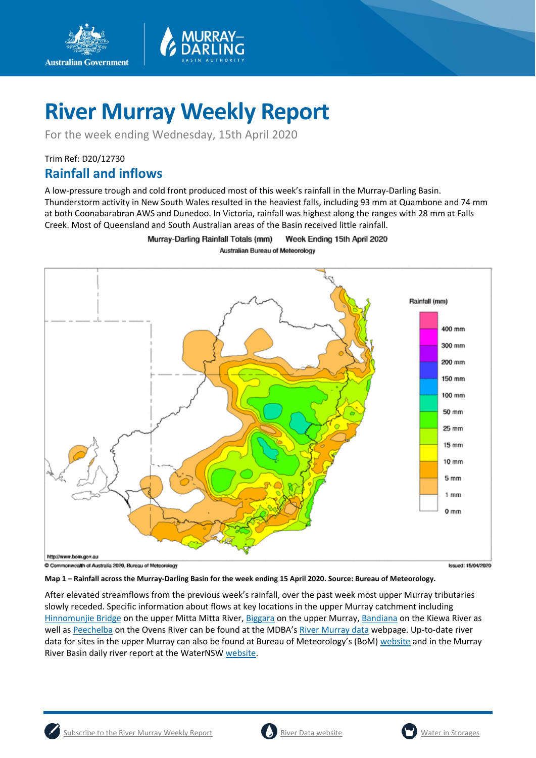

For the week ending Wednesday, 15th April 2020

## Trim Ref: D20/12730 **Rainfall and inflows**

**Australian Government** 

A low-pressure trough and cold front produced most of this week's rainfall in the Murray-Darling Basin. Thunderstorm activity in New South Wales resulted in the heaviest falls, including 93 mm at Quambone and 74 mm at both Coonabarabran AWS and Dunedoo. In Victoria, rainfall was highest along the ranges with 28 mm at Falls Creek. Most of Queensland and South Australian areas of the Basin received little rainfall.



Murray-Darling Rainfall Totals (mm) Week Ending 15th April 2020 Australian Bureau of Meteorology

**Map 1 – Rainfall across the Murray-Darling Basin for the week ending 15 April 2020. Source: Bureau of Meteorology.**

After elevated streamflows from the previous week's rainfall, over the past week most upper Murray tributaries slowly receded. Specific information about flows at key locations in the upper Murray catchment including [Hinnomunjie Bridge](https://riverdata.mdba.gov.au/hinnomunjie) on the upper Mitta Mitta River, [Biggara](https://riverdata.mdba.gov.au/biggara) on the upper Murray, [Bandiana](https://riverdata.mdba.gov.au/bandiana) on the Kiewa River as well as [Peechelba](https://riverdata.mdba.gov.au/peechelba) on the Ovens River can be found at the MDBA's [River Murray data](https://riverdata.mdba.gov.au/system-view) webpage. Up-to-date river data for sites in the upper Murray can also be found at Bureau of Meteorology's (BoM) [website](http://www.bom.gov.au/cgi-bin/wrap_fwo.pl?IDV60151.html) and in the Murray River Basin daily river report at the WaterNS[W website.](https://realtimedata.waternsw.com.au/water.stm)



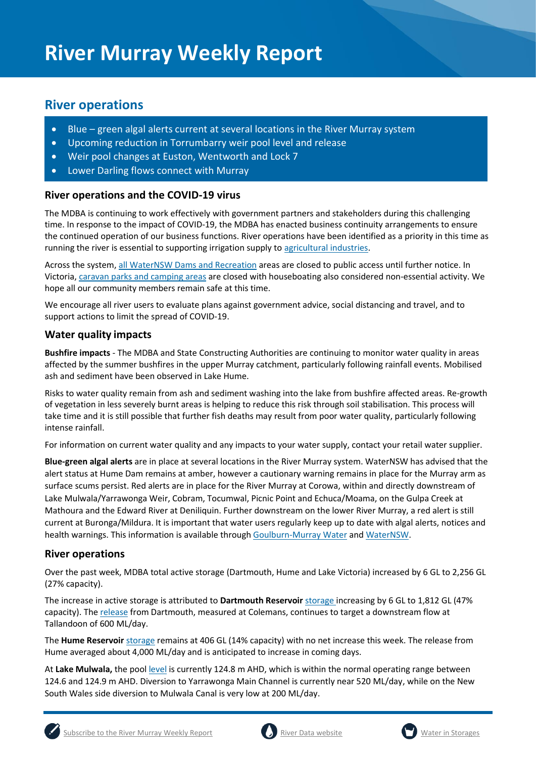## **River operations**

- Blue green algal alerts current at several locations in the River Murray system
- Upcoming reduction in Torrumbarry weir pool level and release
- Weir pool changes at Euston, Wentworth and Lock 7
- Lower Darling flows connect with Murray

### **River operations and the COVID-19 virus**

The MDBA is continuing to work effectively with government partners and stakeholders during this challenging time. In response to the impact of COVID-19, the MDBA has enacted business continuity arrangements to ensure the continued operation of our business functions. River operations have been identified as a priority in this time as running the river is essential to supporting irrigation supply t[o agricultural industries.](https://www.agriculture.gov.au/biosecurity/coronavirus/food-agriculture)

Across the system[, all WaterNSW Dams and Recreation](https://www.waternsw.com.au/about/newsroom/2020/covid-19-coronavirus-our-response) areas are closed to public access until further notice. In Victoria[, caravan parks and camping areas](https://www.g-mwater.com.au/recreation-tourism) are closed with houseboating also considered non-essential activity. We hope all our community members remain safe at this time.

We encourage all river users to evaluate plans against government advice, social distancing and travel, and to support actions to limit the spread of COVID-19.

### **Water quality impacts**

**Bushfire impacts** - The MDBA and State Constructing Authorities are continuing to monitor water quality in areas affected by the summer bushfires in the upper Murray catchment, particularly following rainfall events. Mobilised ash and sediment have been observed in Lake Hume.

Risks to water quality remain from ash and sediment washing into the lake from bushfire affected areas. Re-growth of vegetation in less severely burnt areas is helping to reduce this risk through soil stabilisation. This process will take time and it is still possible that further fish deaths may result from poor water quality, particularly following intense rainfall.

For information on current water quality and any impacts to your water supply, contact your retail water supplier.

**Blue-green algal alerts** are in place at several locations in the River Murray system. WaterNSW has advised that the alert status at Hume Dam remains at amber, however a cautionary warning remains in place for the Murray arm as surface scums persist. Red alerts are in place for the River Murray at Corowa, within and directly downstream of Lake Mulwala/Yarrawonga Weir, Cobram, Tocumwal, Picnic Point and Echuca/Moama, on the Gulpa Creek at Mathoura and the Edward River at Deniliquin. Further downstream on the lower River Murray, a red alert is still current at Buronga/Mildura. It is important that water users regularly keep up to date with algal alerts, notices and health warnings. This information is available throug[h Goulburn-Murray Water](https://www.g-mwater.com.au/news/bga) an[d WaterNSW.](https://www.waternsw.com.au/water-quality/algae)

#### **River operations**

Over the past week, MDBA total active storage (Dartmouth, Hume and Lake Victoria) increased by 6 GL to 2,256 GL (27% capacity).

The increase in active storage is attributed to **Dartmouth Reservoir** [storage](https://riverdata.mdba.gov.au/dartmouth-dam) increasing by 6 GL to 1,812 GL (47% capacity). The [release](https://riverdata.mdba.gov.au/colemans) from Dartmouth, measured at Colemans, continues to target a downstream flow at Tallandoon of 600 ML/day.

The **Hume Reservoir** [storage](https://riverdata.mdba.gov.au/hume-dam) remains at 406 GL (14% capacity) with no net increase this week. The release from Hume averaged about 4,000 ML/day and is anticipated to increase in coming days.

At **Lake Mulwala,** the poo[l level](https://riverdata.mdba.gov.au/yarrawonga-weir-upstream) is currently 124.8 m AHD, which is within the normal operating range between 124.6 and 124.9 m AHD. Diversion to Yarrawonga Main Channel is currently near 520 ML/day, while on the New South Wales side diversion to Mulwala Canal is very low at 200 ML/day.





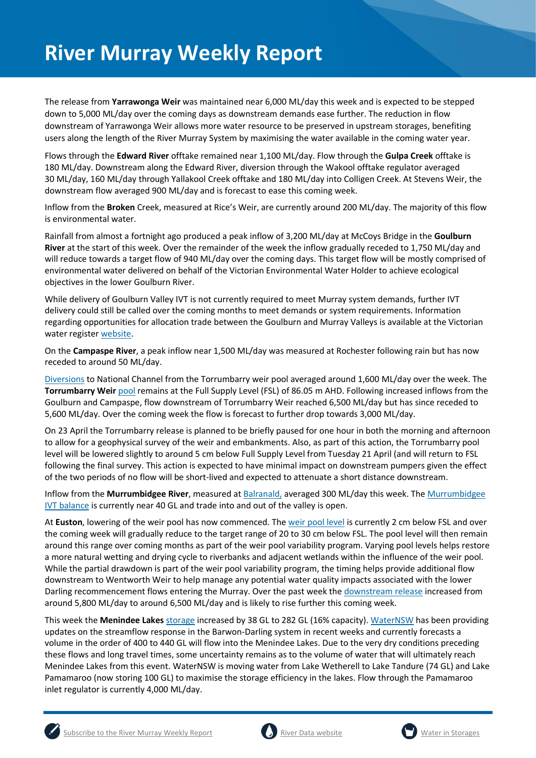The release from **Yarrawonga Weir** was maintained near 6,000 ML/day this week and is expected to be stepped down to 5,000 ML/day over the coming days as downstream demands ease further. The reduction in flow downstream of Yarrawonga Weir allows more water resource to be preserved in upstream storages, benefiting users along the length of the River Murray System by maximising the water available in the coming water year.

Flows through the **Edward River** offtake remained near 1,100 ML/day. Flow through the **Gulpa Creek** offtake is 180 ML/day. Downstream along the Edward River, diversion through the Wakool offtake regulator averaged 30 ML/day, 160 ML/day through Yallakool Creek offtake and 180 ML/day into Colligen Creek. At Stevens Weir, the downstream flow averaged 900 ML/day and is forecast to ease this coming week.

Inflow from the **Broken** Creek, measured at Rice's Weir, are currently around 200 ML/day. The majority of this flow is environmental water.

Rainfall from almost a fortnight ago produced a peak inflow of 3,200 ML/day at McCoys Bridge in the **Goulburn River** at the start of this week. Over the remainder of the week the inflow gradually receded to 1,750 ML/day and will reduce towards a target flow of 940 ML/day over the coming days. This target flow will be mostly comprised of environmental water delivered on behalf of the Victorian Environmental Water Holder to achieve ecological objectives in the lower Goulburn River.

While delivery of Goulburn Valley IVT is not currently required to meet Murray system demands, further IVT delivery could still be called over the coming months to meet demands or system requirements. Information regarding opportunities for allocation trade between the Goulburn and Murray Valleys is available at the Victorian water register [website.](http://waterregister.vic.gov.au/water-trading/allocation-trading#AllocationTradeOpportunities)

On the **Campaspe River**, a peak inflow near 1,500 ML/day was measured at Rochester following rain but has now receded to around 50 ML/day.

[Diversions](https://riverdata.mdba.gov.au/national-channel-ds-torrumbarry-headworks) to National Channel from the Torrumbarry weir pool averaged around 1,600 ML/day over the week. The **Torrumbarry Weir** [pool](https://riverdata.mdba.gov.au/torrumbarry-weir-lock-26) remains at the Full Supply Level (FSL) of 86.05 m AHD. Following increased inflows from the Goulburn and Campaspe, flow downstream of Torrumbarry Weir reached 6,500 ML/day but has since receded to 5,600 ML/day. Over the coming week the flow is forecast to further drop towards 3,000 ML/day.

On 23 April the Torrumbarry release is planned to be briefly paused for one hour in both the morning and afternoon to allow for a geophysical survey of the weir and embankments. Also, as part of this action, the Torrumbarry pool level will be lowered slightly to around 5 cm below Full Supply Level from Tuesday 21 April (and will return to FSL following the final survey. This action is expected to have minimal impact on downstream pumpers given the effect of the two periods of no flow will be short-lived and expected to attenuate a short distance downstream.

Inflow from the **Murrumbidgee River**, measured a[t Balranald,](https://riverdata.mdba.gov.au/balranald-weir-downstream) averaged 300 ML/day this week. Th[e Murrumbidgee](https://www.waternsw.com.au/customer-service/ordering-trading-and-pricing/trading/murrumbidgee)  [IVT balance](https://www.waternsw.com.au/customer-service/ordering-trading-and-pricing/trading/murrumbidgee) is currently near 40 GL and trade into and out of the valley is open.

At **Euston**, lowering of the weir pool has now commenced. The [weir pool level](https://riverdata.mdba.gov.au/euston-weir-upstream) is currently 2 cm below FSL and over the coming week will gradually reduce to the target range of 20 to 30 cm below FSL. The pool level will then remain around this range over coming months as part of the weir pool variability program. Varying pool levels helps restore a more natural wetting and drying cycle to riverbanks and adjacent wetlands within the influence of the weir pool. While the partial drawdown is part of the weir pool variability program, the timing helps provide additional flow downstream to Wentworth Weir to help manage any potential water quality impacts associated with the lower Darling recommencement flows entering the Murray. Over the past week the [downstream release](https://riverdata.mdba.gov.au/euston-weir-downstream) increased from around 5,800 ML/day to around 6,500 ML/day and is likely to rise further this coming week.

This week the **Menindee Lakes** [storage](https://riverdata.mdba.gov.au/menindee-lakes-combined-storage) increased by 38 GL to 282 GL (16% capacity)[. WaterNSW](https://www.waternsw.com.au/supply/regional-nsw/operations-updates) has been providing updates on the streamflow response in the Barwon-Darling system in recent weeks and currently forecasts a volume in the order of 400 to 440 GL will flow into the Menindee Lakes. Due to the very dry conditions preceding these flows and long travel times, some uncertainty remains as to the volume of water that will ultimately reach Menindee Lakes from this event. WaterNSW is moving water from Lake Wetherell to Lake Tandure (74 GL) and Lake Pamamaroo (now storing 100 GL) to maximise the storage efficiency in the lakes. Flow through the Pamamaroo inlet regulator is currently 4,000 ML/day.



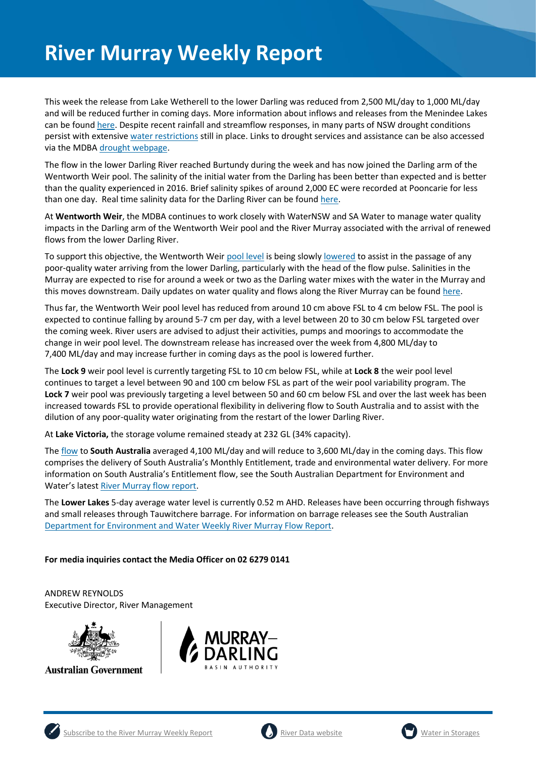This week the release from Lake Wetherell to the lower Darling was reduced from 2,500 ML/day to 1,000 ML/day and will be reduced further in coming days. More information about inflows and releases from the Menindee Lakes can be found [here.](https://www.waternsw.com.au/supply/regional-nsw/operations-updates) Despite recent rainfall and streamflow responses, in many parts of NSW drought conditions persist with extensive [water restrictions](https://www.industry.nsw.gov.au/water/allocations-availability/temporary-water-restrictions) still in place. Links to drought services and assistance can be also accessed via the MDB[A drought webpage.](https://www.mdba.gov.au/managing-water/drought-murray-darling-basin)

The flow in the lower Darling River reached Burtundy during the week and has now joined the Darling arm of the Wentworth Weir pool. The salinity of the initial water from the Darling has been better than expected and is better than the quality experienced in 2016. Brief salinity spikes of around 2,000 EC were recorded at Pooncarie for less than one day. Real time salinity data for the Darling River can be found [here.](https://realtimedata.waternsw.com.au/)

At **Wentworth Weir**, the MDBA continues to work closely with WaterNSW and SA Water to manage water quality impacts in the Darling arm of the Wentworth Weir pool and the River Murray associated with the arrival of renewed flows from the lower Darling River.

To support this objective, the Wentworth Weir [pool level](https://riverdata.mdba.gov.au/wentworth-weir-lock-10) is being slowl[y lowered](https://www.mdba.gov.au/media/mr/managing-water-quality-darling-meets-murray) to assist in the passage of any poor-quality water arriving from the lower Darling, particularly with the head of the flow pulse. Salinities in the Murray are expected to rise for around a week or two as the Darling water mixes with the water in the Murray and this moves downstream. Daily updates on water quality and flows along the River Murray can be foun[d here.](https://riverdata.mdba.gov.au/system-view)

Thus far, the Wentworth Weir pool level has reduced from around 10 cm above FSL to 4 cm below FSL. The pool is expected to continue falling by around 5-7 cm per day, with a level between 20 to 30 cm below FSL targeted over the coming week. River users are advised to adjust their activities, pumps and moorings to accommodate the change in weir pool level. The downstream release has increased over the week from 4,800 ML/day to 7,400 ML/day and may increase further in coming days as the pool is lowered further.

The **Lock 9** weir pool level is currently targeting FSL to 10 cm below FSL, while at **Lock 8** the weir pool level continues to target a level between 90 and 100 cm below FSL as part of the weir pool variability program. The **Lock 7** weir pool was previously targeting a level between 50 and 60 cm below FSL and over the last week has been increased towards FSL to provide operational flexibility in delivering flow to South Australia and to assist with the dilution of any poor-quality water originating from the restart of the lower Darling River.

At **Lake Victoria,** the storage volume remained steady at 232 GL (34% capacity).

The [flow](https://riverdata.mdba.gov.au/flow-south-australia-calculated) to **South Australia** averaged 4,100 ML/day and will reduce to 3,600 ML/day in the coming days. This flow comprises the delivery of South Australia's Monthly Entitlement, trade and environmental water delivery. For more information on South Australia's Entitlement flow, see the South Australian Department for Environment and Water's latest [River Murray flow report.](https://www.waterconnect.sa.gov.au/River-Murray/SitePages/2019%20Flow%20Reports.aspx)

The **Lower Lakes** 5-day average water level is currently 0.52 m AHD. Releases have been occurring through fishways and small releases through Tauwitchere barrage. For information on barrage releases see the South Australian [Department for Environment and Water Weekly River Murray Flow Report.](https://www.waterconnect.sa.gov.au/River-Murray/SitePages/River%20Murray%20Flow%20Reports.aspx)

#### **For media inquiries contact the Media Officer on 02 6279 0141**

ANDREW REYNOLDS Executive Director, River Management



**Australian Government** 





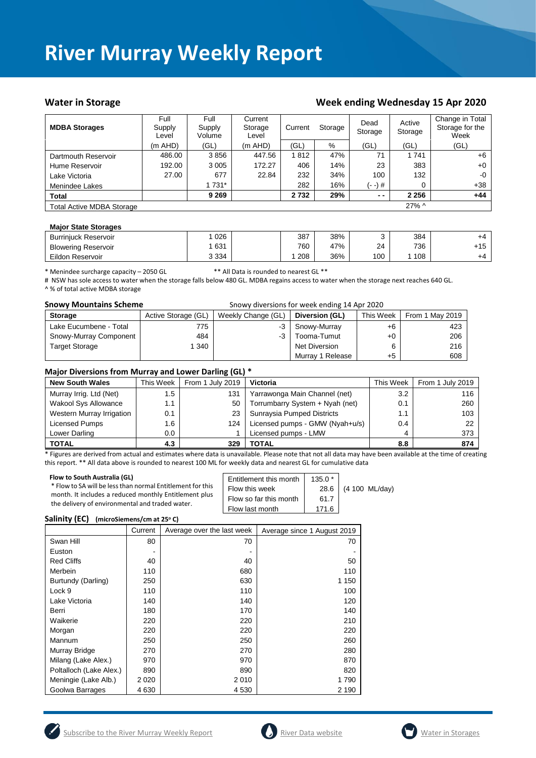#### Water in Storage Water in Storage Week ending Wednesday 15 Apr 2020

| <b>MDBA Storages</b>             | Full<br>Supply<br>Level | Full<br>Supply<br>Volume | Current<br>Storage<br>Level | Current<br>Storage |     | Dead<br>Storage | Active<br>Storage | Change in Total<br>Storage for the<br>Week |
|----------------------------------|-------------------------|--------------------------|-----------------------------|--------------------|-----|-----------------|-------------------|--------------------------------------------|
|                                  | $(m$ AHD)               | (GL)                     | $(m$ AHD)                   | (GL)               | %   | (GL)            | (GL)              | (GL)                                       |
| Dartmouth Reservoir              | 486.00                  | 3856                     | 447.56                      | 1812               | 47% | 71              | 1 7 4 1           | $+6$                                       |
| Hume Reservoir                   | 192.00                  | 3 0 0 5                  | 172.27                      | 406                | 14% | 23              | 383               | $+0$                                       |
| Lake Victoria                    | 27.00                   | 677                      | 22.84                       | 232                | 34% | 100             | 132               | $-0$                                       |
| Menindee Lakes                   |                         | 1 731*                   |                             | 282                | 16% | (- -) #         | 0                 | +38                                        |
| <b>Total</b>                     |                         | 9 2 6 9                  |                             | 2732               | 29% | $ -$            | 2 2 5 6           | +44                                        |
| <b>Total Active MDBA Storage</b> |                         |                          |                             |                    |     |                 | $27\%$ ^          |                                            |

#### **Major State Storages**

| <b>Burriniuck Reservoir</b> | 026     | 387 | 38% |     | 384 | +4    |
|-----------------------------|---------|-----|-----|-----|-----|-------|
| <b>Blowering Reservoir</b>  | 631     | 760 | 47% | 24  | 736 | $+15$ |
| Eildon Reservoir            | 3 3 3 4 | 208 | 36% | 100 | 108 | +4    |

\* Menindee surcharge capacity – 2050 GL \*\* All Data is rounded to nearest GL \*\*

# NSW has sole access to water when the storage falls below 480 GL. MDBA regains access to water when the storage next reaches 640 GL. ^ % of total active MDBA storage

| <b>Snowy Mountains Scheme</b> | Snowy diversions for week ending 14 Apr 2020 |                    |                  |           |                 |  |  |
|-------------------------------|----------------------------------------------|--------------------|------------------|-----------|-----------------|--|--|
| <b>Storage</b>                | Active Storage (GL)                          | Weekly Change (GL) | Diversion (GL)   | This Week | From 1 May 2019 |  |  |
| Lake Eucumbene - Total        | 775                                          | $-3$               | Snowy-Murray     | +6        | 423             |  |  |
| Snowy-Murray Component        | 484                                          | $-3$               | Tooma-Tumut      | $+0$      | 206             |  |  |
| <b>Target Storage</b>         | 340                                          |                    | Net Diversion    |           | 216             |  |  |
|                               |                                              |                    | Murray 1 Release | +5        | 608             |  |  |

#### **Major Diversions from Murray and Lower Darling (GL) \***

| <b>New South Wales</b>    | This Week | From 1 July 2019 | Victoria                        | This Week | From 1 July 2019 |
|---------------------------|-----------|------------------|---------------------------------|-----------|------------------|
| Murray Irrig. Ltd (Net)   | 1.5       | 131              | Yarrawonga Main Channel (net)   | 3.2       | 116              |
| Wakool Sys Allowance      | 1.1       | 50               | Torrumbarry System + Nyah (net) | 0.1       | 260              |
| Western Murray Irrigation | 0.1       | 23               | Sunraysia Pumped Districts      | 1.1       | 103              |
| Licensed Pumps            | 1.6       | 124              | Licensed pumps - GMW (Nyah+u/s) | 0.4       | 22               |
| Lower Darling             | $0.0\,$   |                  | Licensed pumps - LMW            | 4         | 373              |
| <b>TOTAL</b>              | 4.3       | 329              | TOTAL                           | 8.8       | 874              |

\* Figures are derived from actual and estimates where data is unavailable. Please note that not all data may have been available at the time of creating this report. \*\* All data above is rounded to nearest 100 ML for weekly data and nearest GL for cumulative data

| Flow to South Australia (GL)                               | Entitlement this month | $135.0*$ | (4 100 ML/day) |
|------------------------------------------------------------|------------------------|----------|----------------|
| * Flow to SA will be less than normal Entitlement for this | Flow this week         | 28.6 L   |                |
| month. It includes a reduced monthly Entitlement plus      | Flow so far this month | 61.7     |                |
| the delivery of environmental and traded water.            | Flow last month        | 171.6    |                |

#### **Salinity (EC) (microSiemens/cm at 25<sup>o</sup> C)**

|                         | Current | Average over the last week | Average since 1 August 2019 |
|-------------------------|---------|----------------------------|-----------------------------|
| Swan Hill               | 80      | 70                         | 70                          |
| Euston                  |         |                            |                             |
| <b>Red Cliffs</b>       | 40      | 40                         | 50                          |
| Merbein                 | 110     | 680                        | 110                         |
| Burtundy (Darling)      | 250     | 630                        | 1 150                       |
| Lock 9                  | 110     | 110                        | 100                         |
| Lake Victoria           | 140     | 140                        | 120                         |
| Berri                   | 180     | 170                        | 140                         |
| Waikerie                | 220     | 220                        | 210                         |
| Morgan                  | 220     | 220                        | 220                         |
| Mannum                  | 250     | 250                        | 260                         |
| Murray Bridge           | 270     | 270                        | 280                         |
| Milang (Lake Alex.)     | 970     | 970                        | 870                         |
| Poltalloch (Lake Alex.) | 890     | 890                        | 820                         |
| Meningie (Lake Alb.)    | 2 0 2 0 | 2010                       | 1790                        |
| Goolwa Barrages         | 4 630   | 4 5 3 0                    | 2 190                       |





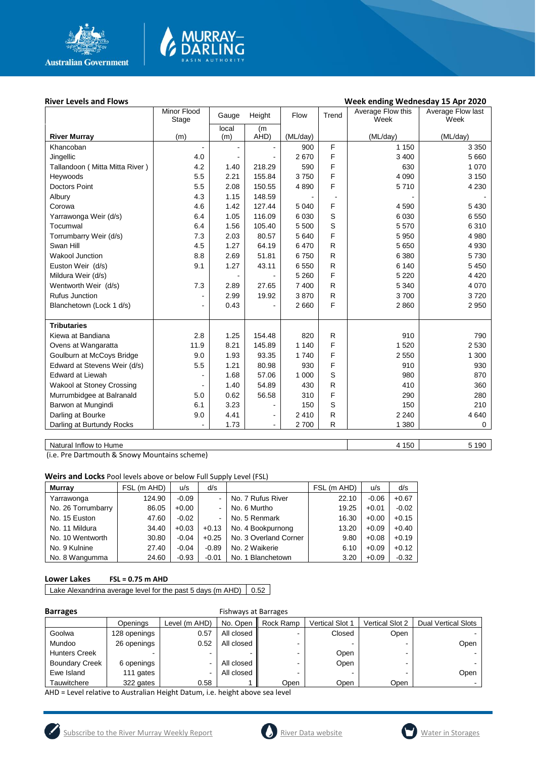

# MURRAY<mark>–</mark><br>DARLING

#### River Levels and Flows **River Levels and Flows Week ending Wednesday 15 Apr 2020**

| local<br>(m)<br>(m)<br>AHD)<br>(ML/day)<br>(ML/day)<br>(ML/day)<br><b>River Murray</b><br>(m)<br>F<br>900<br>1 1 5 0<br>3 3 5 0<br>Khancoban<br>F<br>5 6 6 0<br>Jingellic<br>4.0<br>2670<br>3 4 0 0<br>F<br>1 0 7 0<br>Tallandoon (Mitta Mitta River)<br>4.2<br>218.29<br>590<br>630<br>1.40<br>5.5<br>F<br>2.21<br>155.84<br>4 0 9 0<br>Heywoods<br>3750<br>3 1 5 0<br>F<br>5.5<br><b>Doctors Point</b><br>2.08<br>150.55<br>5710<br>4 2 3 0<br>4890<br>4.3<br>1.15<br>148.59<br>Albury<br>F<br>127.44<br>Corowa<br>4.6<br>1.42<br>5 0 4 0<br>4 5 9 0<br>5 4 3 0<br>S<br>1.05<br>116.09<br>6 0 30<br>6 0 30<br>6 5 5 0<br>6.4<br>Yarrawonga Weir (d/s)<br>S<br>5570<br>6.4<br>1.56<br>105.40<br>5 500<br>6310<br>Tocumwal<br>F<br>Torrumbarry Weir (d/s)<br>7.3<br>2.03<br>80.57<br>5 6 4 0<br>5 9 5 0<br>4 9 8 0<br>$\mathsf{R}$<br>Swan Hill<br>4.5<br>1.27<br>64.19<br>6470<br>5 6 5 0<br>4 9 3 0<br>${\sf R}$<br>8.8<br>6 3 8 0<br><b>Wakool Junction</b><br>2.69<br>51.81<br>6750<br>5730<br>${\sf R}$<br>Euston Weir (d/s)<br>9.1<br>1.27<br>43.11<br>6 5 5 0<br>6 140<br>5 4 5 0<br>F<br>5 2 6 0<br>Mildura Weir (d/s)<br>5 2 2 0<br>4 4 2 0<br>Wentworth Weir (d/s)<br>R<br>4 0 7 0<br>7.3<br>2.89<br>27.65<br>7 400<br>5 3 4 0<br>${\sf R}$<br><b>Rufus Junction</b><br>2.99<br>3700<br>19.92<br>3870<br>3720<br>$\overline{\phantom{a}}$<br>F<br>Blanchetown (Lock 1 d/s)<br>0.43<br>2 6 6 0<br>2860<br>2 9 5 0<br>÷,<br><b>Tributaries</b><br>2.8<br>$\mathsf{R}$<br>910<br>Kiewa at Bandiana<br>1.25<br>154.48<br>820<br>790<br>F<br>8.21<br>145.89<br>1 5 2 0<br>2 5 3 0<br>Ovens at Wangaratta<br>11.9<br>1 1 4 0<br>F<br>Goulburn at McCoys Bridge<br>9.0<br>1.93<br>93.35<br>1740<br>2 5 5 0<br>1 300<br>F<br>5.5<br>1.21<br>910<br>Edward at Stevens Weir (d/s)<br>80.98<br>930<br>930<br>S<br><b>Edward at Liewah</b><br>57.06<br>980<br>1.68<br>1 0 0 0<br>870<br>${\sf R}$<br><b>Wakool at Stoney Crossing</b><br>1.40<br>54.89<br>430<br>410<br>360<br>F<br>Murrumbidgee at Balranald<br>0.62<br>56.58<br>310<br>290<br>5.0<br>280<br>S<br>6.1<br>3.23<br>Barwon at Mungindi<br>150<br>210<br>150<br>٠<br>$\mathsf R$<br>Darling at Bourke<br>4.41<br>2 2 4 0<br>4 6 4 0<br>9.0<br>2 4 1 0<br>$\blacksquare$ |                           | Minor Flood<br>Stage | Gauge | Height         | Flow | Trend     | Average Flow this<br>Week | Average Flow last<br>Week |
|------------------------------------------------------------------------------------------------------------------------------------------------------------------------------------------------------------------------------------------------------------------------------------------------------------------------------------------------------------------------------------------------------------------------------------------------------------------------------------------------------------------------------------------------------------------------------------------------------------------------------------------------------------------------------------------------------------------------------------------------------------------------------------------------------------------------------------------------------------------------------------------------------------------------------------------------------------------------------------------------------------------------------------------------------------------------------------------------------------------------------------------------------------------------------------------------------------------------------------------------------------------------------------------------------------------------------------------------------------------------------------------------------------------------------------------------------------------------------------------------------------------------------------------------------------------------------------------------------------------------------------------------------------------------------------------------------------------------------------------------------------------------------------------------------------------------------------------------------------------------------------------------------------------------------------------------------------------------------------------------------------------------------------------------------------------------------------------------------------------------------------------------------------------------------------------------------------------------------------|---------------------------|----------------------|-------|----------------|------|-----------|---------------------------|---------------------------|
|                                                                                                                                                                                                                                                                                                                                                                                                                                                                                                                                                                                                                                                                                                                                                                                                                                                                                                                                                                                                                                                                                                                                                                                                                                                                                                                                                                                                                                                                                                                                                                                                                                                                                                                                                                                                                                                                                                                                                                                                                                                                                                                                                                                                                                    |                           |                      |       |                |      |           |                           |                           |
|                                                                                                                                                                                                                                                                                                                                                                                                                                                                                                                                                                                                                                                                                                                                                                                                                                                                                                                                                                                                                                                                                                                                                                                                                                                                                                                                                                                                                                                                                                                                                                                                                                                                                                                                                                                                                                                                                                                                                                                                                                                                                                                                                                                                                                    |                           |                      |       |                |      |           |                           |                           |
|                                                                                                                                                                                                                                                                                                                                                                                                                                                                                                                                                                                                                                                                                                                                                                                                                                                                                                                                                                                                                                                                                                                                                                                                                                                                                                                                                                                                                                                                                                                                                                                                                                                                                                                                                                                                                                                                                                                                                                                                                                                                                                                                                                                                                                    |                           |                      |       |                |      |           |                           |                           |
|                                                                                                                                                                                                                                                                                                                                                                                                                                                                                                                                                                                                                                                                                                                                                                                                                                                                                                                                                                                                                                                                                                                                                                                                                                                                                                                                                                                                                                                                                                                                                                                                                                                                                                                                                                                                                                                                                                                                                                                                                                                                                                                                                                                                                                    |                           |                      |       |                |      |           |                           |                           |
|                                                                                                                                                                                                                                                                                                                                                                                                                                                                                                                                                                                                                                                                                                                                                                                                                                                                                                                                                                                                                                                                                                                                                                                                                                                                                                                                                                                                                                                                                                                                                                                                                                                                                                                                                                                                                                                                                                                                                                                                                                                                                                                                                                                                                                    |                           |                      |       |                |      |           |                           |                           |
|                                                                                                                                                                                                                                                                                                                                                                                                                                                                                                                                                                                                                                                                                                                                                                                                                                                                                                                                                                                                                                                                                                                                                                                                                                                                                                                                                                                                                                                                                                                                                                                                                                                                                                                                                                                                                                                                                                                                                                                                                                                                                                                                                                                                                                    |                           |                      |       |                |      |           |                           |                           |
|                                                                                                                                                                                                                                                                                                                                                                                                                                                                                                                                                                                                                                                                                                                                                                                                                                                                                                                                                                                                                                                                                                                                                                                                                                                                                                                                                                                                                                                                                                                                                                                                                                                                                                                                                                                                                                                                                                                                                                                                                                                                                                                                                                                                                                    |                           |                      |       |                |      |           |                           |                           |
|                                                                                                                                                                                                                                                                                                                                                                                                                                                                                                                                                                                                                                                                                                                                                                                                                                                                                                                                                                                                                                                                                                                                                                                                                                                                                                                                                                                                                                                                                                                                                                                                                                                                                                                                                                                                                                                                                                                                                                                                                                                                                                                                                                                                                                    |                           |                      |       |                |      |           |                           |                           |
|                                                                                                                                                                                                                                                                                                                                                                                                                                                                                                                                                                                                                                                                                                                                                                                                                                                                                                                                                                                                                                                                                                                                                                                                                                                                                                                                                                                                                                                                                                                                                                                                                                                                                                                                                                                                                                                                                                                                                                                                                                                                                                                                                                                                                                    |                           |                      |       |                |      |           |                           |                           |
|                                                                                                                                                                                                                                                                                                                                                                                                                                                                                                                                                                                                                                                                                                                                                                                                                                                                                                                                                                                                                                                                                                                                                                                                                                                                                                                                                                                                                                                                                                                                                                                                                                                                                                                                                                                                                                                                                                                                                                                                                                                                                                                                                                                                                                    |                           |                      |       |                |      |           |                           |                           |
|                                                                                                                                                                                                                                                                                                                                                                                                                                                                                                                                                                                                                                                                                                                                                                                                                                                                                                                                                                                                                                                                                                                                                                                                                                                                                                                                                                                                                                                                                                                                                                                                                                                                                                                                                                                                                                                                                                                                                                                                                                                                                                                                                                                                                                    |                           |                      |       |                |      |           |                           |                           |
|                                                                                                                                                                                                                                                                                                                                                                                                                                                                                                                                                                                                                                                                                                                                                                                                                                                                                                                                                                                                                                                                                                                                                                                                                                                                                                                                                                                                                                                                                                                                                                                                                                                                                                                                                                                                                                                                                                                                                                                                                                                                                                                                                                                                                                    |                           |                      |       |                |      |           |                           |                           |
|                                                                                                                                                                                                                                                                                                                                                                                                                                                                                                                                                                                                                                                                                                                                                                                                                                                                                                                                                                                                                                                                                                                                                                                                                                                                                                                                                                                                                                                                                                                                                                                                                                                                                                                                                                                                                                                                                                                                                                                                                                                                                                                                                                                                                                    |                           |                      |       |                |      |           |                           |                           |
|                                                                                                                                                                                                                                                                                                                                                                                                                                                                                                                                                                                                                                                                                                                                                                                                                                                                                                                                                                                                                                                                                                                                                                                                                                                                                                                                                                                                                                                                                                                                                                                                                                                                                                                                                                                                                                                                                                                                                                                                                                                                                                                                                                                                                                    |                           |                      |       |                |      |           |                           |                           |
|                                                                                                                                                                                                                                                                                                                                                                                                                                                                                                                                                                                                                                                                                                                                                                                                                                                                                                                                                                                                                                                                                                                                                                                                                                                                                                                                                                                                                                                                                                                                                                                                                                                                                                                                                                                                                                                                                                                                                                                                                                                                                                                                                                                                                                    |                           |                      |       |                |      |           |                           |                           |
|                                                                                                                                                                                                                                                                                                                                                                                                                                                                                                                                                                                                                                                                                                                                                                                                                                                                                                                                                                                                                                                                                                                                                                                                                                                                                                                                                                                                                                                                                                                                                                                                                                                                                                                                                                                                                                                                                                                                                                                                                                                                                                                                                                                                                                    |                           |                      |       |                |      |           |                           |                           |
|                                                                                                                                                                                                                                                                                                                                                                                                                                                                                                                                                                                                                                                                                                                                                                                                                                                                                                                                                                                                                                                                                                                                                                                                                                                                                                                                                                                                                                                                                                                                                                                                                                                                                                                                                                                                                                                                                                                                                                                                                                                                                                                                                                                                                                    |                           |                      |       |                |      |           |                           |                           |
|                                                                                                                                                                                                                                                                                                                                                                                                                                                                                                                                                                                                                                                                                                                                                                                                                                                                                                                                                                                                                                                                                                                                                                                                                                                                                                                                                                                                                                                                                                                                                                                                                                                                                                                                                                                                                                                                                                                                                                                                                                                                                                                                                                                                                                    |                           |                      |       |                |      |           |                           |                           |
|                                                                                                                                                                                                                                                                                                                                                                                                                                                                                                                                                                                                                                                                                                                                                                                                                                                                                                                                                                                                                                                                                                                                                                                                                                                                                                                                                                                                                                                                                                                                                                                                                                                                                                                                                                                                                                                                                                                                                                                                                                                                                                                                                                                                                                    |                           |                      |       |                |      |           |                           |                           |
|                                                                                                                                                                                                                                                                                                                                                                                                                                                                                                                                                                                                                                                                                                                                                                                                                                                                                                                                                                                                                                                                                                                                                                                                                                                                                                                                                                                                                                                                                                                                                                                                                                                                                                                                                                                                                                                                                                                                                                                                                                                                                                                                                                                                                                    |                           |                      |       |                |      |           |                           |                           |
|                                                                                                                                                                                                                                                                                                                                                                                                                                                                                                                                                                                                                                                                                                                                                                                                                                                                                                                                                                                                                                                                                                                                                                                                                                                                                                                                                                                                                                                                                                                                                                                                                                                                                                                                                                                                                                                                                                                                                                                                                                                                                                                                                                                                                                    |                           |                      |       |                |      |           |                           |                           |
|                                                                                                                                                                                                                                                                                                                                                                                                                                                                                                                                                                                                                                                                                                                                                                                                                                                                                                                                                                                                                                                                                                                                                                                                                                                                                                                                                                                                                                                                                                                                                                                                                                                                                                                                                                                                                                                                                                                                                                                                                                                                                                                                                                                                                                    |                           |                      |       |                |      |           |                           |                           |
|                                                                                                                                                                                                                                                                                                                                                                                                                                                                                                                                                                                                                                                                                                                                                                                                                                                                                                                                                                                                                                                                                                                                                                                                                                                                                                                                                                                                                                                                                                                                                                                                                                                                                                                                                                                                                                                                                                                                                                                                                                                                                                                                                                                                                                    |                           |                      |       |                |      |           |                           |                           |
|                                                                                                                                                                                                                                                                                                                                                                                                                                                                                                                                                                                                                                                                                                                                                                                                                                                                                                                                                                                                                                                                                                                                                                                                                                                                                                                                                                                                                                                                                                                                                                                                                                                                                                                                                                                                                                                                                                                                                                                                                                                                                                                                                                                                                                    |                           |                      |       |                |      |           |                           |                           |
|                                                                                                                                                                                                                                                                                                                                                                                                                                                                                                                                                                                                                                                                                                                                                                                                                                                                                                                                                                                                                                                                                                                                                                                                                                                                                                                                                                                                                                                                                                                                                                                                                                                                                                                                                                                                                                                                                                                                                                                                                                                                                                                                                                                                                                    |                           |                      |       |                |      |           |                           |                           |
|                                                                                                                                                                                                                                                                                                                                                                                                                                                                                                                                                                                                                                                                                                                                                                                                                                                                                                                                                                                                                                                                                                                                                                                                                                                                                                                                                                                                                                                                                                                                                                                                                                                                                                                                                                                                                                                                                                                                                                                                                                                                                                                                                                                                                                    |                           |                      |       |                |      |           |                           |                           |
|                                                                                                                                                                                                                                                                                                                                                                                                                                                                                                                                                                                                                                                                                                                                                                                                                                                                                                                                                                                                                                                                                                                                                                                                                                                                                                                                                                                                                                                                                                                                                                                                                                                                                                                                                                                                                                                                                                                                                                                                                                                                                                                                                                                                                                    |                           |                      |       |                |      |           |                           |                           |
|                                                                                                                                                                                                                                                                                                                                                                                                                                                                                                                                                                                                                                                                                                                                                                                                                                                                                                                                                                                                                                                                                                                                                                                                                                                                                                                                                                                                                                                                                                                                                                                                                                                                                                                                                                                                                                                                                                                                                                                                                                                                                                                                                                                                                                    |                           |                      |       |                |      |           |                           |                           |
|                                                                                                                                                                                                                                                                                                                                                                                                                                                                                                                                                                                                                                                                                                                                                                                                                                                                                                                                                                                                                                                                                                                                                                                                                                                                                                                                                                                                                                                                                                                                                                                                                                                                                                                                                                                                                                                                                                                                                                                                                                                                                                                                                                                                                                    |                           |                      |       |                |      |           |                           |                           |
|                                                                                                                                                                                                                                                                                                                                                                                                                                                                                                                                                                                                                                                                                                                                                                                                                                                                                                                                                                                                                                                                                                                                                                                                                                                                                                                                                                                                                                                                                                                                                                                                                                                                                                                                                                                                                                                                                                                                                                                                                                                                                                                                                                                                                                    |                           |                      |       |                |      |           |                           |                           |
|                                                                                                                                                                                                                                                                                                                                                                                                                                                                                                                                                                                                                                                                                                                                                                                                                                                                                                                                                                                                                                                                                                                                                                                                                                                                                                                                                                                                                                                                                                                                                                                                                                                                                                                                                                                                                                                                                                                                                                                                                                                                                                                                                                                                                                    | Darling at Burtundy Rocks |                      | 1.73  | $\blacksquare$ | 2700 | ${\sf R}$ | 1 3 8 0                   | $\mathbf 0$               |

Natural Inflow to Hume 5 190

(i.e. Pre Dartmouth & Snowy Mountains scheme)

**Weirs and Locks** Pool levels above or below Full Supply Level (FSL)

| <b>Murray</b>      | FSL (m AHD) | u/s     | d/s     |                       | FSL (m AHD) | u/s     | d/s     |
|--------------------|-------------|---------|---------|-----------------------|-------------|---------|---------|
| Yarrawonga         | 124.90      | $-0.09$ |         | No. 7 Rufus River     | 22.10       | $-0.06$ | $+0.67$ |
| No. 26 Torrumbarry | 86.05       | $+0.00$ |         | No. 6 Murtho          | 19.25       | $+0.01$ | $-0.02$ |
| No. 15 Euston      | 47.60       | $-0.02$ |         | No. 5 Renmark         | 16.30       | $+0.00$ | $+0.15$ |
| No. 11 Mildura     | 34.40       | $+0.03$ | $+0.13$ | No. 4 Bookpurnong     | 13.20       | $+0.09$ | $+0.40$ |
| No. 10 Wentworth   | 30.80       | $-0.04$ | $+0.25$ | No. 3 Overland Corner | 9.80        | $+0.08$ | $+0.19$ |
| No. 9 Kulnine      | 27.40       | $-0.04$ | $-0.89$ | No. 2 Waikerie        | 6.10        | $+0.09$ | $+0.12$ |
| No. 8 Wangumma     | 24.60       | $-0.93$ | $-0.01$ | No. 1 Blanchetown     | 3.20        | $+0.09$ | $-0.32$ |

#### **Lower Lakes FSL = 0.75 m AHD**

Lake Alexandrina average level for the past 5 days (m AHD)  $\vert$  0.52

#### **Barrages Barrages Fishways at Barrages**

|                       | Openings     | Level (m AHD) | No. Open   | Rock Ramp | Vertical Slot 1          | <b>Vertical Slot 2</b> | <b>Dual Vertical Slots</b> |  |
|-----------------------|--------------|---------------|------------|-----------|--------------------------|------------------------|----------------------------|--|
| Goolwa                | 128 openings | 0.57          | All closed |           | Closed                   | Open                   |                            |  |
| Mundoo                | 26 openings  | 0.52          | All closed |           | $\overline{\phantom{0}}$ |                        | Open                       |  |
| <b>Hunters Creek</b>  |              | -             |            |           | Open                     | . .                    |                            |  |
| <b>Boundary Creek</b> | 6 openings   |               | All closed |           | Open                     | -                      |                            |  |
| Ewe Island            | 111 gates    | -             | All closed |           |                          |                        | Open                       |  |
| Tauwitchere           | 322 gates    | 0.58          |            | Open      | Open                     | Open                   |                            |  |

AHD = Level relative to Australian Height Datum, i.e. height above sea level